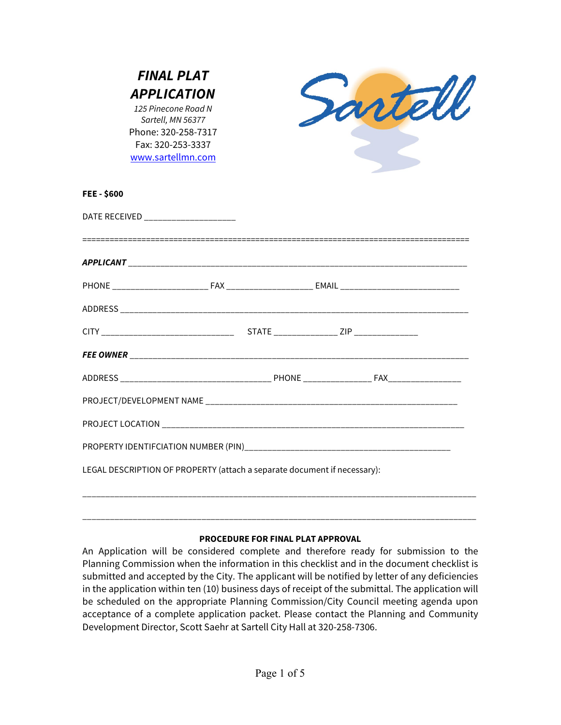| <b>FINAL PLAT</b><br><b>APPLICATION</b><br>125 Pinecone Road N<br>Sartell, MN 56377<br>Phone: 320-258-7317<br>Fax: 320-253-3337<br>www.sartellmn.com |  | Santell |
|------------------------------------------------------------------------------------------------------------------------------------------------------|--|---------|
| FEE-\$600                                                                                                                                            |  |         |
| DATE RECEIVED _______________________                                                                                                                |  |         |
|                                                                                                                                                      |  |         |
|                                                                                                                                                      |  |         |
|                                                                                                                                                      |  |         |
|                                                                                                                                                      |  |         |
|                                                                                                                                                      |  |         |
|                                                                                                                                                      |  |         |
|                                                                                                                                                      |  |         |
|                                                                                                                                                      |  |         |
|                                                                                                                                                      |  |         |
| LEGAL DESCRIPTION OF PROPERTY (attach a separate document if necessary):                                                                             |  |         |
|                                                                                                                                                      |  |         |

## **PROCEDURE FOR FINAL PLAT APPROVAL**

An Application will be considered complete and therefore ready for submission to the Planning Commission when the information in this checklist and in the document checklist is submitted and accepted by the City. The applicant will be notified by letter of any deficiencies in the application within ten (10) business days of receipt of the submittal. The application will be scheduled on the appropriate Planning Commission/City Council meeting agenda upon acceptance of a complete application packet. Please contact the Planning and Community Development Director, Scott Saehr at Sartell City Hall at 320-258-7306.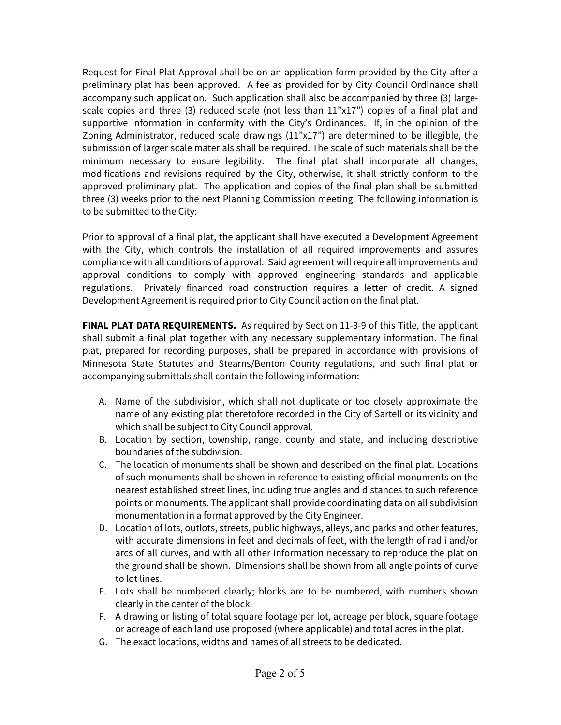Request for Final Plat Approval shall be on an application form provided by the City after a preliminary plat has been approved. A fee as provided for by City Council Ordinance shall accompany such application. Such application shall also be accompanied by three (3) largescale copies and three (3) reduced scale (not less than  $11"x17"$ ) copies of a final plat and supportive information in conformity with the City's Ordinances. If, in the opinion of the Zoning Administrator, reduced scale drawings (11"x17") are determined to be illegible, the submission of larger scale materials shall be required. The scale of such materials shall be the minimum necessary to ensure legibility. The final plat shall incorporate all changes, modifications and revisions required by the City, otherwise, it shall strictly conform to the approved preliminary plat. The application and copies of the final plan shall be submitted three (3) weeks prior to the next Planning Commission meeting. The following information is to be submitted to the City:

Prior to approval of a final plat, the applicant shall have executed a Development Agreement with the City, which controls the installation of all required improvements and assures compliance with all conditions of approval. Said agreement will require all improvements and approval conditions to comply with approved engineering standards and applicable regulations. Privately financed road construction requires a letter of credit. A signed Development Agreement is required prior to City Council action on the final plat.

**FINAL PLAT DATA REQUIREMENTS.** As required by Section 11-3-9 of this Title, the applicant shall submit a final plat together with any necessary supplementary information. The final plat, prepared for recording purposes, shall be prepared in accordance with provisions of Minnesota State Statutes and Stearns/Benton County regulations, and such final plat or accompanying submittals shall contain the following information:

- A. Name of the subdivision, which shall not duplicate or too closely approximate the name of any existing plat theretofore recorded in the City of Sartell or its vicinity and which shall be subject to City Council approval.
- B. Location by section, township, range, county and state, and including descriptive boundaries of the subdivision.
- C. The location of monuments shall be shown and described on the final plat. Locations of such monuments shall be shown in reference to existing official monuments on the nearest established street lines, including true angles and distances to such reference points or monuments. The applicant shall provide coordinating data on all subdivision monumentation in a format approved by the City Engineer.
- D. Location of lots, outlots, streets, public highways, alleys, and parks and other features, with accurate dimensions in feet and decimals of feet, with the length of radii and/or arcs of all curves, and with all other information necessary to reproduce the plat on the ground shall be shown. Dimensions shall be shown from all angle points of curve to lot lines.
- E. Lots shall be numbered clearly; blocks are to be numbered, with numbers shown clearly in the center of the block.
- F. A drawing or listing of total square footage per lot, acreage per block, square footage or acreage of each land use proposed (where applicable) and total acres in the plat.
- G. The exact locations, widths and names of all streets to be dedicated.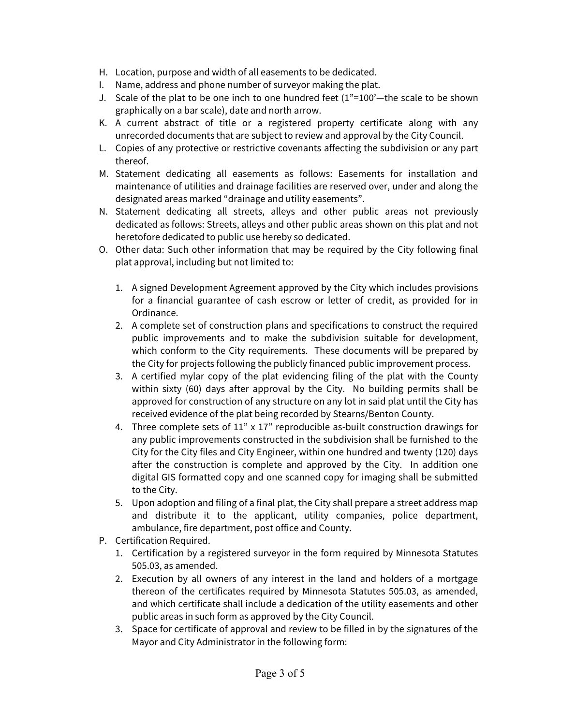- H. Location, purpose and width of all easements to be dedicated.
- I. Name, address and phone number of surveyor making the plat.
- J. Scale of the plat to be one inch to one hundred feet (1"=100'—the scale to be shown graphically on a bar scale), date and north arrow.
- K. A current abstract of title or a registered property certificate along with any unrecorded documents that are subject to review and approval by the City Council.
- L. Copies of any protective or restrictive covenants affecting the subdivision or any part thereof.
- M. Statement dedicating all easements as follows: Easements for installation and maintenance of utilities and drainage facilities are reserved over, under and along the designated areas marked "drainage and utility easements".
- N. Statement dedicating all streets, alleys and other public areas not previously dedicated as follows: Streets, alleys and other public areas shown on this plat and not heretofore dedicated to public use hereby so dedicated.
- O. Other data: Such other information that may be required by the City following final plat approval, including but not limited to:
	- 1. A signed Development Agreement approved by the City which includes provisions for a financial guarantee of cash escrow or letter of credit, as provided for in Ordinance.
	- 2. A complete set of construction plans and specifications to construct the required public improvements and to make the subdivision suitable for development, which conform to the City requirements. These documents will be prepared by the City for projects following the publicly financed public improvement process.
	- 3. A certified mylar copy of the plat evidencing filing of the plat with the County within sixty (60) days after approval by the City. No building permits shall be approved for construction of any structure on any lot in said plat until the City has received evidence of the plat being recorded by Stearns/Benton County.
	- 4. Three complete sets of 11" x 17" reproducible as-built construction drawings for any public improvements constructed in the subdivision shall be furnished to the City for the City files and City Engineer, within one hundred and twenty (120) days after the construction is complete and approved by the City. In addition one digital GIS formatted copy and one scanned copy for imaging shall be submitted to the City.
	- 5. Upon adoption and filing of a final plat, the City shall prepare a street address map and distribute it to the applicant, utility companies, police department, ambulance, fire department, post office and County.
- P. Certification Required.
	- 1. Certification by a registered surveyor in the form required by Minnesota Statutes 505.03, as amended.
	- 2. Execution by all owners of any interest in the land and holders of a mortgage thereon of the certificates required by Minnesota Statutes 505.03, as amended, and which certificate shall include a dedication of the utility easements and other public areas in such form as approved by the City Council.
	- 3. Space for certificate of approval and review to be filled in by the signatures of the Mayor and City Administrator in the following form: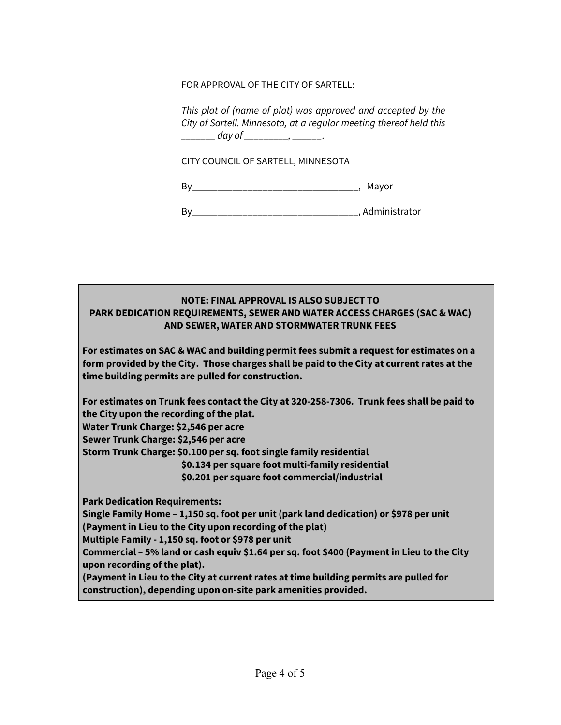FOR APPROVAL OF THE CITY OF SARTELL:

*This plat of (name of plat) was approved and accepted by the City of Sartell. Minnesota, at a regular meeting thereof held this \_\_\_\_\_\_\_ day of \_\_\_\_\_\_\_\_\_, \_\_\_\_\_\_*.

CITY COUNCIL OF SARTELL, MINNESOTA

By\_\_\_\_\_\_\_\_\_\_\_\_\_\_\_\_\_\_\_\_\_\_\_\_\_\_\_\_\_\_\_\_\_, Mayor

By\_\_\_\_\_\_\_\_\_\_\_\_\_\_\_\_\_\_\_\_\_\_\_\_\_\_\_\_\_\_\_\_\_, Administrator

## **NOTE: FINAL APPROVAL IS ALSO SUBJECT TO PARK DEDICATION REQUIREMENTS, SEWER AND WATER ACCESS CHARGES (SAC & WAC) AND SEWER, WATER AND STORMWATER TRUNK FEES**

**For estimates on SAC & WAC and building permit fees submit a request for estimates on a form provided by the City. Those charges shall be paid to the City at current rates at the time building permits are pulled for construction.** 

**For estimates on Trunk fees contact the City at 320-258-7306. Trunk fees shall be paid to the City upon the recording of the plat.** 

**Water Trunk Charge: \$2,546 per acre** 

**Sewer Trunk Charge: \$2,546 per acre** 

**Storm Trunk Charge: \$0.100 per sq. foot single family residential**

 **\$0.134 per square foot multi-family residential**

**\$0.201 per square foot commercial/industrial**

**Park Dedication Requirements:**

**Single Family Home – 1,150 sq. foot per unit (park land dedication) or \$978 per unit (Payment in Lieu to the City upon recording of the plat)**

**Multiple Family - 1,150 sq. foot or \$978 per unit**

**Commercial – 5% land or cash equiv \$1.64 per sq. foot \$400 (Payment in Lieu to the City upon recording of the plat).**

**(Payment in Lieu to the City at current rates at time building permits are pulled for construction), depending upon on-site park amenities provided.**